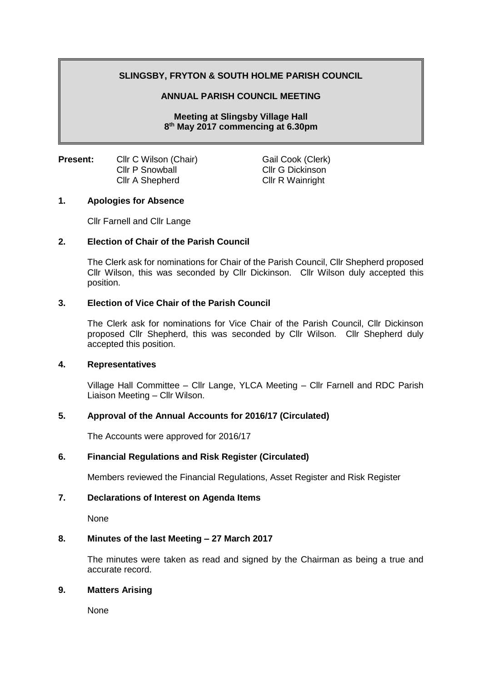# **SLINGSBY, FRYTON & SOUTH HOLME PARISH COUNCIL**

### **ANNUAL PARISH COUNCIL MEETING**

**Meeting at Slingsby Village Hall 8 th May 2017 commencing at 6.30pm**

**Present:** Cllr C Wilson (Chair) Gail Cook (Clerk) Cllr P Snowball Cllr G Dickinson Cllr A Shepherd Cllr R Wainright

# **1. Apologies for Absence**

Cllr Farnell and Cllr Lange

#### **2. Election of Chair of the Parish Council**

The Clerk ask for nominations for Chair of the Parish Council, Cllr Shepherd proposed Cllr Wilson, this was seconded by Cllr Dickinson. Cllr Wilson duly accepted this position.

#### **3. Election of Vice Chair of the Parish Council**

The Clerk ask for nominations for Vice Chair of the Parish Council, Cllr Dickinson proposed Cllr Shepherd, this was seconded by Cllr Wilson. Cllr Shepherd duly accepted this position.

#### **4. Representatives**

Village Hall Committee – Cllr Lange, YLCA Meeting – Cllr Farnell and RDC Parish Liaison Meeting – Cllr Wilson.

## **5. Approval of the Annual Accounts for 2016/17 (Circulated)**

The Accounts were approved for 2016/17

#### **6. Financial Regulations and Risk Register (Circulated)**

Members reviewed the Financial Regulations, Asset Register and Risk Register

#### **7. Declarations of Interest on Agenda Items**

None

#### **8. Minutes of the last Meeting – 27 March 2017**

The minutes were taken as read and signed by the Chairman as being a true and accurate record.

### **9. Matters Arising**

None